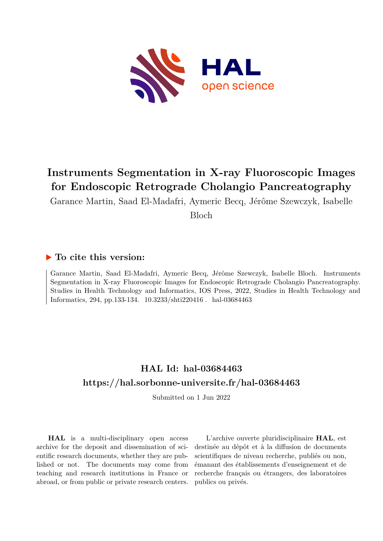

## **Instruments Segmentation in X-ray Fluoroscopic Images for Endoscopic Retrograde Cholangio Pancreatography**

Garance Martin, Saad El-Madafri, Aymeric Becq, Jérôme Szewczyk, Isabelle

Bloch

### **To cite this version:**

Garance Martin, Saad El-Madafri, Aymeric Becq, Jérôme Szewczyk, Isabelle Bloch. Instruments Segmentation in X-ray Fluoroscopic Images for Endoscopic Retrograde Cholangio Pancreatography. Studies in Health Technology and Informatics, IOS Press, 2022, Studies in Health Technology and Informatics, 294, pp.133-134. 10.3233/shti220416. hal-03684463

## **HAL Id: hal-03684463 <https://hal.sorbonne-universite.fr/hal-03684463>**

Submitted on 1 Jun 2022

**HAL** is a multi-disciplinary open access archive for the deposit and dissemination of scientific research documents, whether they are published or not. The documents may come from teaching and research institutions in France or abroad, or from public or private research centers.

L'archive ouverte pluridisciplinaire **HAL**, est destinée au dépôt et à la diffusion de documents scientifiques de niveau recherche, publiés ou non, émanant des établissements d'enseignement et de recherche français ou étrangers, des laboratoires publics ou privés.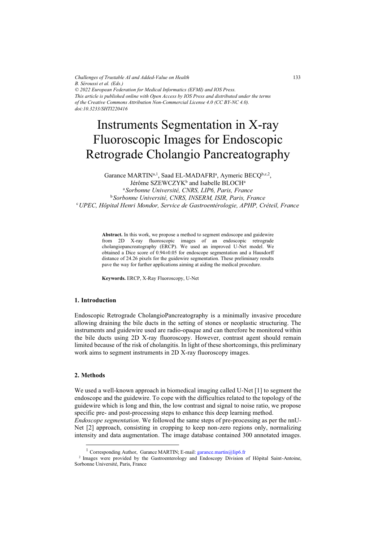*Challenges of Trustable AI and Added-Value on Health B. Séroussi et al. (Eds.) © 2022 European Federation for Medical Informatics (EFMI) and IOS Press. This article is published online with Open Access by IOS Press and distributed under the terms of the Creative Commons Attribution Non-Commercial License 4.0 (CC BY-NC 4.0). doi:10.3233/SHTI220416*

# Instruments Segmentation in X-ray Fluoroscopic Images for Endoscopic Retrograde Cholangio Pancreatography

Garance MARTIN<sup>a, 1</sup>, Saad EL-MADAFRI<sup>a</sup>, Aymeric BECQ<sup>b,c,2</sup>, Jérôme SZEWCZYK<sup>b</sup> and Isabelle BLOCH<sup>a</sup> <sup>a</sup>*Sorbonne Université, CNRS, LIP6, Paris, France*  <sup>b</sup> *Sorbonne Université, CNRS, INSERM, ISIR, Paris, France* <sup>c</sup>*UPEC, Hôpital Henri Mondor, Service de Gastroentérologie, APHP, Créteil, France* 

> **Abstract.** In this work, we propose a method to segment endoscope and guidewire from 2D X-ray fluoroscopic images of an endoscopic retrograde cholangiopancreatography (ERCP). We used an improved U-Net model. We obtained a Dice score of 0.94±0.05 for endoscope segmentation and a Hausdorff distance of 24.26 pixels for the guidewire segmentation. These preliminary results pave the way for further applications aiming at aiding the medical procedure.

**Keywords.** ERCP, X-Ray Fluoroscopy, U-Net

#### **1. Introduction**

Endoscopic Retrograde CholangioPancreatography is a minimally invasive procedure allowing draining the bile ducts in the setting of stones or neoplastic structuring. The instruments and guidewire used are radio-opaque and can therefore be monitored within the bile ducts using 2D X-ray fluoroscopy. However, contrast agent should remain limited because of the risk of cholangitis. In light of these shortcomings, this preliminary work aims to segment instruments in 2D X-ray fluoroscopy images.

#### **2. Methods**

We used a well-known approach in biomedical imaging called U-Net [1] to segment the endoscope and the guidewire. To cope with the difficulties related to the topology of the guidewire which is long and thin, the low contrast and signal to noise ratio, we propose specific pre- and post-processing steps to enhance this deep learning method.

*Endoscope segmentation*. We followed the same steps of pre-processing as per the nnU-Net [2] approach, consisting in cropping to keep non-zero regions only, normalizing intensity and data augmentation. The image database contained 300 annotated images.

<sup>&</sup>lt;sup>1</sup> Corresponding Author, Garance MARTIN; E-mail[: g](mailto:garance.martin@lip6.fr)arance.martin@lip6.fr<br><sup>2</sup> Images were provided by the Gastroenterology and Endoscopy Division of Hôpital Saint-Antoine, Sorbonne Université, Paris, France